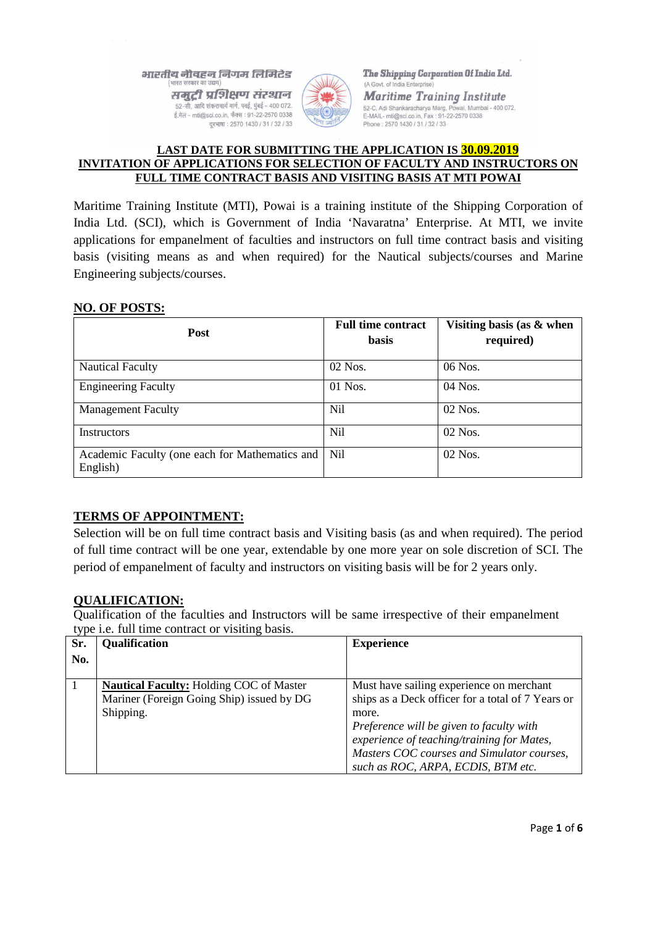#### भारतीय नौवहन निगम लिमिटेड (भारत सरकार का उद्यम

समुद्री प्रशिक्षण संस्थान 52-सी, आदि शंकराचार्य मार्ग, पवई, मुंबई - 400 072. ई.मेल - mti@sci.co.in, फैक्स : 91-22-2570 0338 दूरभाषा: 2570 1430 / 31 / 32 / 33



The Shipping Corporation Of India Ltd. (A Govt. of India Enterpr

**Maritime Training Institute** 52-C, Adi Shankaracharya Marg, Powai, Mumbai - 400 072. E-MAIL- mti@sci.co.in, Fax: 91-22-2570 0338<br>Phone: 2570 1430 / 31 / 32 / 33

#### **LAST DATE FOR SUBMITTING THE APPLICATION IS 30.09.2019 INVITATION OF APPLICATIONS FOR SELECTION OF FACULTY AND INSTRUCTORS ON FULL TIME CONTRACT BASIS AND VISITING BASIS AT MTI POWAI**

Maritime Training Institute (MTI), Powai is a training institute of the Shipping Corporation of India Ltd. (SCI), which is Government of India 'Navaratna' Enterprise. At MTI, we invite applications for empanelment of faculties and instructors on full time contract basis and visiting basis (visiting means as and when required) for the Nautical subjects/courses and Marine Engineering subjects/courses.

#### **NO. OF POSTS:**

| <b>Post</b>                                                | <b>Full time contract</b><br><b>basis</b> | Visiting basis (as & when<br>required) |  |
|------------------------------------------------------------|-------------------------------------------|----------------------------------------|--|
| <b>Nautical Faculty</b>                                    | $02$ Nos.                                 | 06 Nos.                                |  |
| <b>Engineering Faculty</b>                                 | 01 Nos.                                   | $04$ Nos.                              |  |
| <b>Management Faculty</b>                                  | Nil                                       | $02$ Nos.                              |  |
| Instructors                                                | Nil                                       | $02$ Nos.                              |  |
| Academic Faculty (one each for Mathematics and<br>English) | Nil                                       | 02 Nos.                                |  |

# **TERMS OF APPOINTMENT:**

Selection will be on full time contract basis and Visiting basis (as and when required). The period of full time contract will be one year, extendable by one more year on sole discretion of SCI. The period of empanelment of faculty and instructors on visiting basis will be for 2 years only.

#### **QUALIFICATION:**

Qualification of the faculties and Instructors will be same irrespective of their empanelment type i.e. full time contract or visiting basis.

| Sr. | <b>Qualification</b>                           | <b>Experience</b>                                 |
|-----|------------------------------------------------|---------------------------------------------------|
| No. |                                                |                                                   |
|     |                                                |                                                   |
|     | <b>Nautical Faculty: Holding COC of Master</b> | Must have sailing experience on merchant          |
|     | Mariner (Foreign Going Ship) issued by DG      | ships as a Deck officer for a total of 7 Years or |
|     | Shipping.                                      | more.                                             |
|     |                                                | Preference will be given to faculty with          |
|     |                                                | experience of teaching/training for Mates,        |
|     |                                                | Masters COC courses and Simulator courses,        |
|     |                                                | such as ROC, ARPA, ECDIS, BTM etc.                |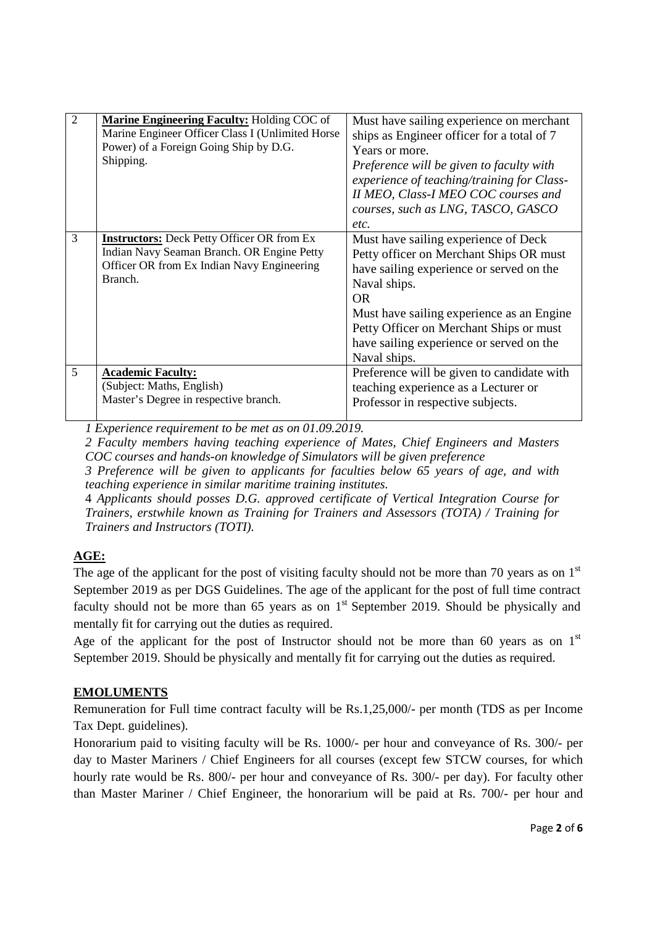| $\overline{2}$ | <b>Marine Engineering Faculty: Holding COC of</b> | Must have sailing experience on merchant   |
|----------------|---------------------------------------------------|--------------------------------------------|
|                | Marine Engineer Officer Class I (Unlimited Horse  | ships as Engineer officer for a total of 7 |
|                | Power) of a Foreign Going Ship by D.G.            | Years or more.                             |
|                | Shipping.                                         | Preference will be given to faculty with   |
|                |                                                   | experience of teaching/training for Class- |
|                |                                                   | II MEO, Class-I MEO COC courses and        |
|                |                                                   | courses, such as LNG, TASCO, GASCO         |
|                |                                                   | etc.                                       |
| 3              | <b>Instructors:</b> Deck Petty Officer OR from Ex | Must have sailing experience of Deck       |
|                | Indian Navy Seaman Branch. OR Engine Petty        | Petty officer on Merchant Ships OR must    |
|                | Officer OR from Ex Indian Navy Engineering        | have sailing experience or served on the   |
|                | Branch.                                           | Naval ships.                               |
|                |                                                   | <b>OR</b>                                  |
|                |                                                   | Must have sailing experience as an Engine  |
|                |                                                   | Petty Officer on Merchant Ships or must    |
|                |                                                   | have sailing experience or served on the   |
|                |                                                   | Naval ships.                               |
| 5              | <b>Academic Faculty:</b>                          | Preference will be given to candidate with |
|                | (Subject: Maths, English)                         | teaching experience as a Lecturer or       |
|                | Master's Degree in respective branch.             | Professor in respective subjects.          |
|                |                                                   |                                            |

*1 Experience requirement to be met as on 01.09.2019.*

*2 Faculty members having teaching experience of Mates, Chief Engineers and Masters COC courses and hands-on knowledge of Simulators will be given preference*

*3 Preference will be given to applicants for faculties below 65 years of age, and with teaching experience in similar maritime training institutes.* 

4 *Applicants should posses D.G. approved certificate of Vertical Integration Course for Trainers, erstwhile known as Training for Trainers and Assessors (TOTA) / Training for Trainers and Instructors (TOTI).* 

# **AGE:**

The age of the applicant for the post of visiting faculty should not be more than 70 years as on  $1<sup>st</sup>$ September 2019 as per DGS Guidelines. The age of the applicant for the post of full time contract faculty should not be more than 65 years as on  $1<sup>st</sup>$  September 2019. Should be physically and mentally fit for carrying out the duties as required.

Age of the applicant for the post of Instructor should not be more than 60 years as on  $1<sup>st</sup>$ September 2019. Should be physically and mentally fit for carrying out the duties as required.

# **EMOLUMENTS**

Remuneration for Full time contract faculty will be Rs.1,25,000/- per month (TDS as per Income Tax Dept. guidelines).

Honorarium paid to visiting faculty will be Rs. 1000/- per hour and conveyance of Rs. 300/- per day to Master Mariners / Chief Engineers for all courses (except few STCW courses, for which hourly rate would be Rs. 800/- per hour and conveyance of Rs. 300/- per day). For faculty other than Master Mariner / Chief Engineer, the honorarium will be paid at Rs. 700/- per hour and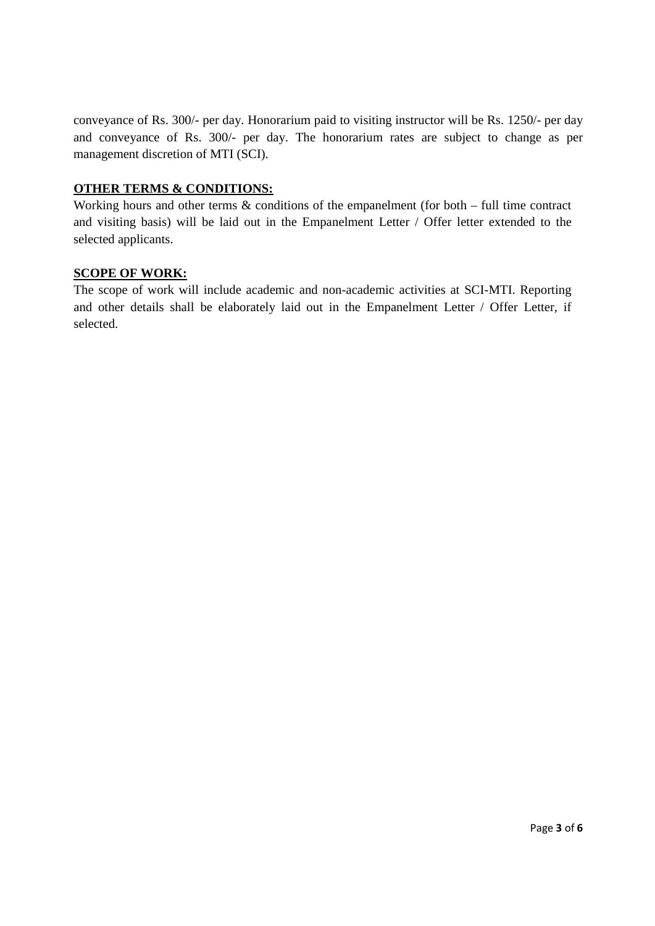conveyance of Rs. 300/- per day. Honorarium paid to visiting instructor will be Rs. 1250/- per day and conveyance of Rs. 300/- per day. The honorarium rates are subject to change as per management discretion of MTI (SCI).

#### **OTHER TERMS & CONDITIONS:**

Working hours and other terms  $\&$  conditions of the empanelment (for both – full time contract and visiting basis) will be laid out in the Empanelment Letter / Offer letter extended to the selected applicants.

#### **SCOPE OF WORK:**

The scope of work will include academic and non-academic activities at SCI-MTI. Reporting and other details shall be elaborately laid out in the Empanelment Letter / Offer Letter, if selected.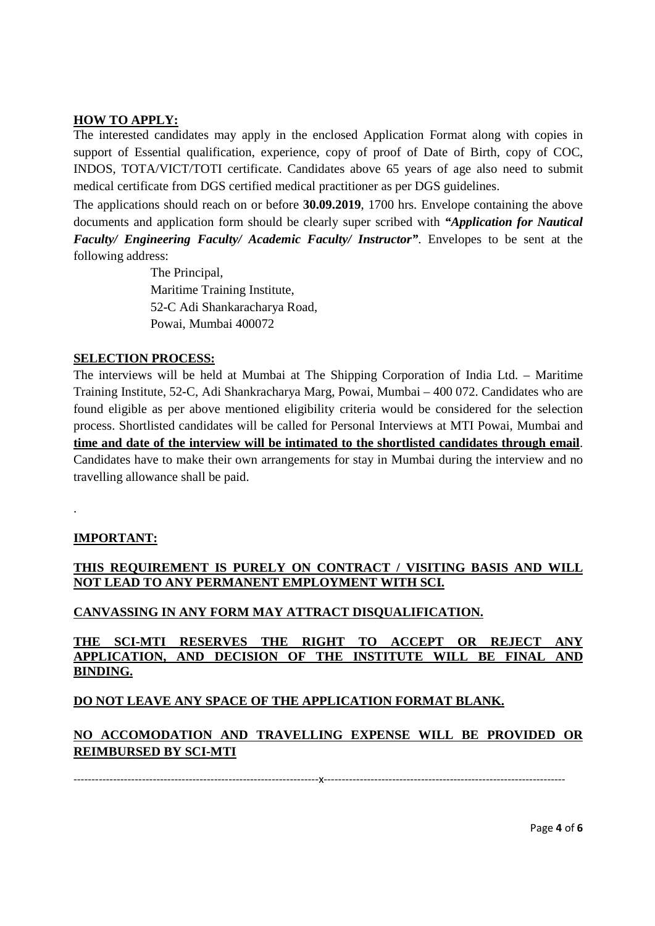#### **HOW TO APPLY:**

The interested candidates may apply in the enclosed Application Format along with copies in support of Essential qualification, experience, copy of proof of Date of Birth, copy of COC, INDOS, TOTA/VICT/TOTI certificate. Candidates above 65 years of age also need to submit medical certificate from DGS certified medical practitioner as per DGS guidelines.

The applications should reach on or before **30.09.2019**, 1700 hrs. Envelope containing the above documents and application form should be clearly super scribed with *"Application for Nautical Faculty/ Engineering Faculty/ Academic Faculty/ Instructor"*. Envelopes to be sent at the following address:

> The Principal, Maritime Training Institute, 52-C Adi Shankaracharya Road, Powai, Mumbai 400072

#### **SELECTION PROCESS:**

The interviews will be held at Mumbai at The Shipping Corporation of India Ltd. – Maritime Training Institute, 52-C, Adi Shankracharya Marg, Powai, Mumbai – 400 072. Candidates who are found eligible as per above mentioned eligibility criteria would be considered for the selection process. Shortlisted candidates will be called for Personal Interviews at MTI Powai, Mumbai and **time and date of the interview will be intimated to the shortlisted candidates through email**. Candidates have to make their own arrangements for stay in Mumbai during the interview and no travelling allowance shall be paid.

# **IMPORTANT:**

.

#### **THIS REQUIREMENT IS PURELY ON CONTRACT / VISITING BASIS AND WILL NOT LEAD TO ANY PERMANENT EMPLOYMENT WITH SCI.**

# **CANVASSING IN ANY FORM MAY ATTRACT DISQUALIFICATION.**

#### **THE SCI-MTI RESERVES THE RIGHT TO ACCEPT OR REJECT ANY APPLICATION, AND DECISION OF THE INSTITUTE WILL BE FINAL AND BINDING.**

# **DO NOT LEAVE ANY SPACE OF THE APPLICATION FORMAT BLANK.**

# **NO ACCOMODATION AND TRAVELLING EXPENSE WILL BE PROVIDED OR REIMBURSED BY SCI-MTI**

--------------------------------------------------------------------x-------------------------------------------------------------------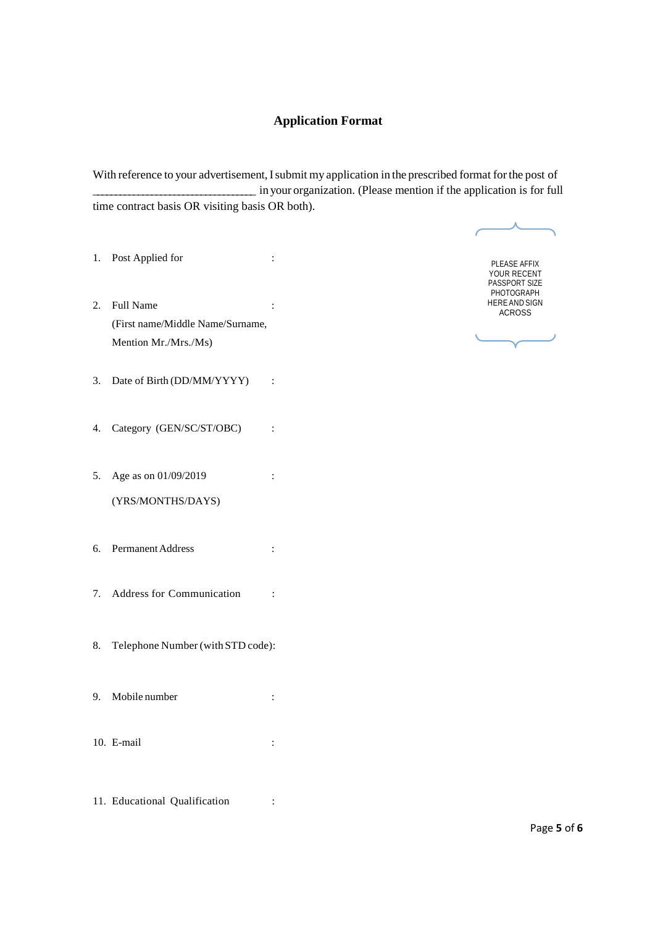#### **Application Format**

With reference to your advertisement, I submit my application in the prescribed format for the post of \_\_\_\_\_\_\_\_\_\_\_\_\_\_\_\_\_\_\_\_\_\_\_\_\_\_\_\_\_\_\_\_\_\_\_\_ in your organization. (Please mention if the application is for full time contract basis OR visiting basis OR both).

- 1. Post Applied for :
- 2. Full Name : (First name/Middle Name/Surname, Mention Mr./Mrs./Ms)
- 3. Date of Birth (DD/MM/YYYY) :
- 4. Category (GEN/SC/ST/OBC) :
- 5. Age as on 01/09/2019 : (YRS/MONTHS/DAYS)
- 6. PermanentAddress :
- 7. Address for Communication :
- 8. Telephone Number (withSTD code):
- 9. Mobile number :
- 10. E-mail :
- 11. Educational Qualification :

PLEASE AFFIX YOUR RECENT PASSPORT SIZE PHOTOGRAPH HERE AND SIGN ACROSS